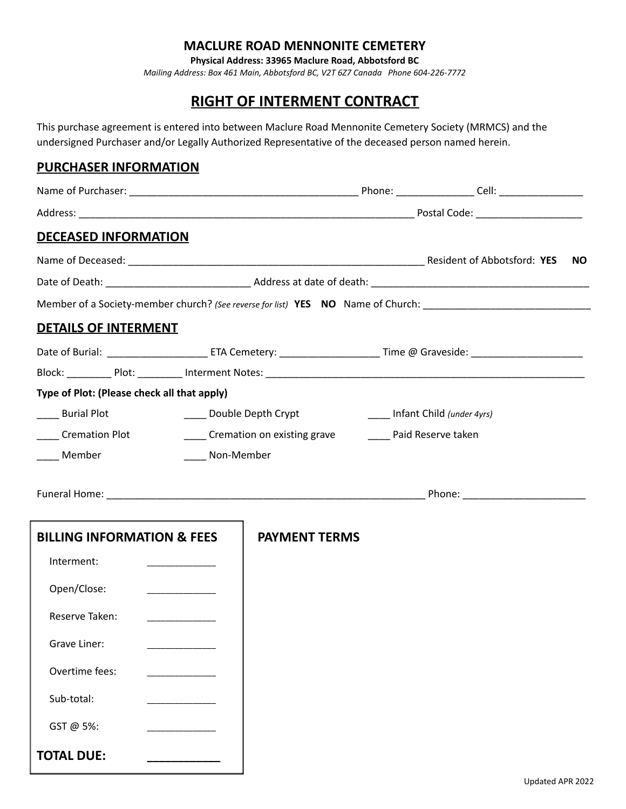## **MACLURE ROAD MENNONITE CEMETERY**

**Physical Address: 33965 Maclure Road, Abbotsford BC**

*Mailing Address: Box 461 Main, Abbotsford BC, V2T 6Z7 Canada Phone 604-226-7772*

# **RIGHT OF INTERMENT CONTRACT**

This purchase agreement is entered into between Maclure Road Mennonite Cemetery Society (MRMCS) and the undersigned Purchaser and/or Legally Authorized Representative of the deceased person named herein.

## **PURCHASER INFORMATION**

| <b>DECEASED INFORMATION</b>                 |            |                                                         |  |                                                                                                                      |     |
|---------------------------------------------|------------|---------------------------------------------------------|--|----------------------------------------------------------------------------------------------------------------------|-----|
|                                             |            |                                                         |  |                                                                                                                      | NO. |
|                                             |            |                                                         |  |                                                                                                                      |     |
|                                             |            |                                                         |  | Member of a Society-member church? (See reverse for list) YES NO Name of Church: ___________________________________ |     |
| <b>DETAILS OF INTERMENT</b>                 |            |                                                         |  |                                                                                                                      |     |
|                                             |            |                                                         |  |                                                                                                                      |     |
|                                             |            |                                                         |  |                                                                                                                      |     |
| Type of Plot: (Please check all that apply) |            |                                                         |  |                                                                                                                      |     |
| ____ Burial Plot                            |            | _____ Double Depth Crypt                                |  | Infant Child (under 4yrs)                                                                                            |     |
| _____ Cremation Plot                        |            | Cremation on existing grave ________ Paid Reserve taken |  |                                                                                                                      |     |
| ____ Member                                 | Non-Member |                                                         |  |                                                                                                                      |     |
|                                             |            |                                                         |  |                                                                                                                      |     |
| <b>BILLING INFORMATION &amp; FEES</b>       |            | <b>PAYMENT TERMS</b>                                    |  |                                                                                                                      |     |
| Interment:                                  |            |                                                         |  |                                                                                                                      |     |
| Open/Close:                                 |            |                                                         |  |                                                                                                                      |     |
| Reserve Taken:                              |            |                                                         |  |                                                                                                                      |     |
| Grave Liner:                                |            |                                                         |  |                                                                                                                      |     |
| Overtime fees:                              |            |                                                         |  |                                                                                                                      |     |
| Sub-total:                                  |            |                                                         |  |                                                                                                                      |     |
| GST @ 5%:                                   |            |                                                         |  |                                                                                                                      |     |
| <b>TOTAL DUE:</b>                           |            |                                                         |  |                                                                                                                      |     |